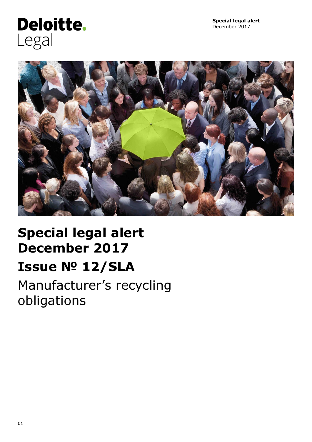# Deloitte. Legal



# **Special legal alert December 2017 Issue № 12/SLA** Manufacturer's recycling

obligations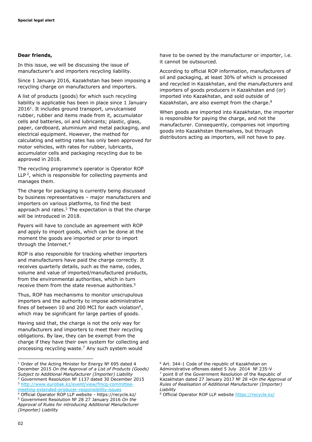#### **Dear friends,**

In this issue, we will be discussing the issue of manufacturer's and importers recycling liability.

Since 1 January 2016, Kazakhstan has been imposing a recycling charge on manufacturers and importers.

A list of products (goods) for which such recycling liability is applicable has been in place since 1 January 2016<sup>1</sup>. It includes ground transport, unvulcanised rubber, rubber and items made from it, accumulator cells and batteries, oil and lubricants; plastic, glass, paper, cardboard, aluminium and metal packaging, and electrical equipment. However, the method for calculating and setting rates has only been approved for motor vehicles, with rates for rubber, lubricants, accumulator cells and packaging recycling due to be approved in 2018.

The recycling programme's operator is Operator ROP LLP<sup>2</sup>, which is responsible for collecting payments and manages them.

The charge for packaging is currently being discussed by business representatives – major manufacturers and importers on various platforms, to find the best approach and rates.<sup>3</sup> The expectation is that the charge will be introduced in 2018.

Payers will have to conclude an agreement with ROP and apply to import goods, which can be done at the moment the goods are imported or prior to import through the Internet. 4

ROP is also responsible for tracking whether importers and manufacturers have paid the charge correctly. It receives quarterly details, such as the name, codes, volume and value of imported/manufactured products, from the environmental authorities, which in turn receive them from the state revenue authorities. 5

Thus, ROP has mechanisms to monitor unscrupulous importers and the authority to impose administrative fines of between 10 and 200 MCI for each violation<sup>6</sup>, which may be significant for large parties of goods.

Having said that, the charge is not the only way for manufacturers and importers to meet their recycling obligations. By law, they can be exempt from the charge if they have their own system for collecting and processing recycling waste. <sup>7</sup> Any such system would

have to be owned by the manufacturer or importer, i.e. it cannot be outsourced.

According to official ROP information, manufacturers of oil and packaging, at least 30% of which is processed and recycled in Kazakhstan, and the manufacturers and importers of goods producers in Kazakhstan and (or) imported into Kazakhstan, and sold outside of Kazakhstan, are also exempt from the charge.<sup>8</sup>

When goods are imported into Kazakhstan, the importer is responsible for paying the charge, and not the manufacturer. Consequently, companies not importing goods into Kazakhstan themselves, but through distributors acting as importers, will not have to pay.

<sup>6</sup> Art. 344-1 Code of the republic of Kazakhstan on Administrative offenses dated 5 July 2014 № 235-V point 8 of the Government Resolution of the Republic of Kazakhstan dated 27 January 2017 № 28 «*On the Approval of Rules of Realisation of Additional Manufacturer (Importer) Liability*

ł

<sup>&</sup>lt;sup>1</sup> Order of the Acting Minister for Energy Nº 695 dated 4 December 2015 *On the Approval of a List of Products (Goods) Subject to Additional Manufacturer (Importer) Liability*

<sup>2</sup> Government Resolution № 1137 dated 30 December 2015 <sup>3</sup> [http://www.eurobak.kz/event/view/fmcg-committee](http://www.eurobak.kz/event/view/fmcg-committee-meeting-extended-producer-responsibility-issues)[meeting-extended-producer-responsibility-issues](http://www.eurobak.kz/event/view/fmcg-committee-meeting-extended-producer-responsibility-issues)

<sup>4</sup> Official Operator ROP LLP website - https://recycle.kz/ <sup>5</sup> Government Resolution № 28 27 January 2016 *On the Approval of Rules for introducing Additional Manufacturer (Importer) Liability*

<sup>8</sup> Official Operator ROP LLP website<https://recycle.kz/>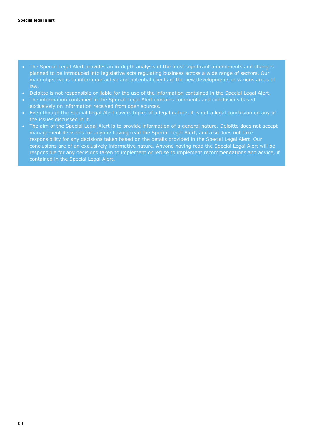- The Special Legal Alert provides an in-depth analysis of the most significant amendments and changes planned to be introduced into legislative acts regulating business across a wide range of sectors. Our main objective is to inform our active and potential clients of the new developments in various areas of law.
- Deloitte is not responsible or liable for the use of the information contained in the Special Legal Alert.
- The information contained in the Special Legal Alert contains comments and conclusions based exclusively on information received from open sources.
- Even though the Special Legal Alert covers topics of a legal nature, it is not a legal conclusion on any of the issues discussed in it.
- The aim of the Special Legal Alert is to provide information of a general nature. Deloitte does not accept management decisions for anyone having read the Special Legal Alert, and also does not take responsibility for any decisions taken based on the details provided in the Special Legal Alert. Our conclusions are of an exclusively informative nature. Anyone having read the Special Legal Alert will be responsible for any decisions taken to implement or refuse to implement recommendations and advice, if contained in the Special Legal Alert.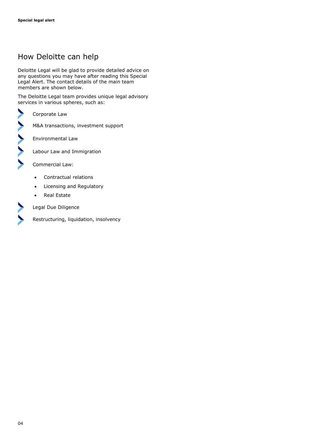## How Deloitte can help

Deloitte Legal will be glad to provide detailed advice on any questions you may have after reading this Special Legal Alert. The contact details of the main team members are shown below.

The Deloitte Legal team provides unique legal advisory services in various spheres, such as:

Corporate Law

M&A transactions, investment support

Environmental Law

Labour Law and Immigration

Commercial Law:

- Contractual relations
- Licensing and Regulatory
- Real Estate

 $\blacktriangleright$ 

Legal Due Diligence

Restructuring, liquidation, insolvency